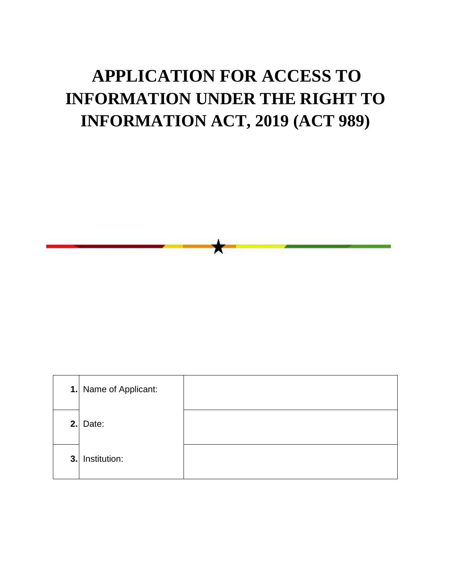## **APPLICATION FOR ACCESS TO INFORMATION UNDER THE RIGHT TO INFORMATION ACT, 2019 (ACT 989)**

x

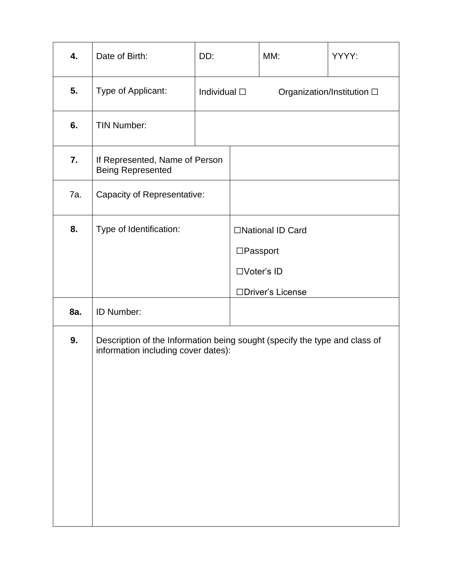| 4.  | Date of Birth:                                                                                                    | DD:                  |           | MM:                                                   | YYYY:                      |
|-----|-------------------------------------------------------------------------------------------------------------------|----------------------|-----------|-------------------------------------------------------|----------------------------|
| 5.  | Type of Applicant:                                                                                                | Individual $\square$ |           |                                                       | Organization/Institution □ |
| 6.  | <b>TIN Number:</b>                                                                                                |                      |           |                                                       |                            |
| 7.  | If Represented, Name of Person<br><b>Being Represented</b>                                                        |                      |           |                                                       |                            |
| 7a. | Capacity of Representative:                                                                                       |                      |           |                                                       |                            |
| 8.  | Type of Identification:                                                                                           |                      | □Passport | □National ID Card<br>□Voter's ID<br>□Driver's License |                            |
| 8a. | ID Number:                                                                                                        |                      |           |                                                       |                            |
| 9.  | Description of the Information being sought (specify the type and class of<br>information including cover dates): |                      |           |                                                       |                            |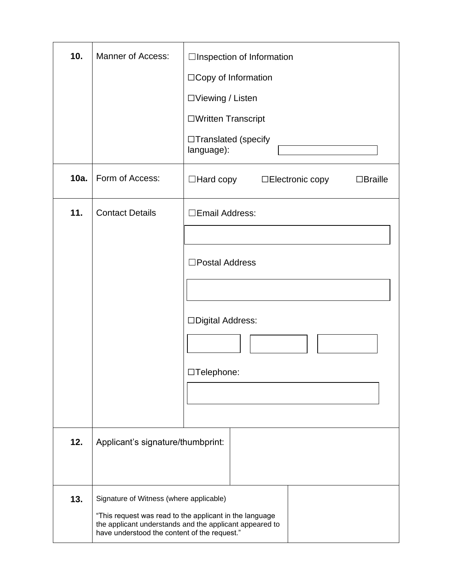| 10.  | Manner of Access:                                                                                                                                                                                             | □Inspection of Information<br>□ Copy of Information<br>□Viewing / Listen<br>□Written Transcript |  |
|------|---------------------------------------------------------------------------------------------------------------------------------------------------------------------------------------------------------------|-------------------------------------------------------------------------------------------------|--|
|      |                                                                                                                                                                                                               | $\Box$ Translated (specify<br>language):                                                        |  |
| 10a. | Form of Access:                                                                                                                                                                                               | $\Box$ Hard copy<br>□Electronic copy<br>$\Box$ Braille                                          |  |
| 11.  | <b>Contact Details</b>                                                                                                                                                                                        | □Email Address:<br>□Postal Address<br>□Digital Address:<br>□Telephone:                          |  |
| 12.  | Applicant's signature/thumbprint:                                                                                                                                                                             |                                                                                                 |  |
| 13.  | Signature of Witness (where applicable)<br>"This request was read to the applicant in the language<br>the applicant understands and the applicant appeared to<br>have understood the content of the request." |                                                                                                 |  |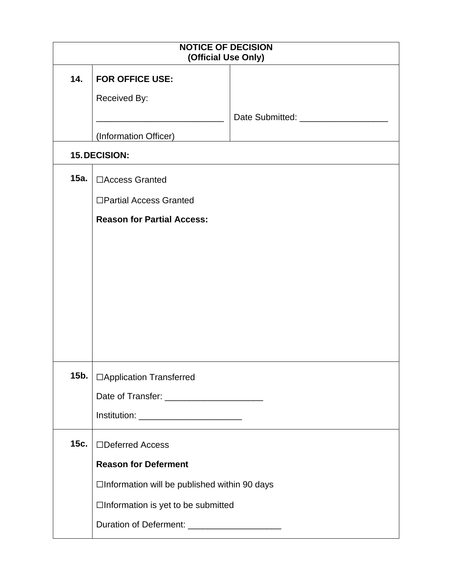| <b>NOTICE OF DECISION</b><br>(Official Use Only) |                                                |                                                   |  |  |
|--------------------------------------------------|------------------------------------------------|---------------------------------------------------|--|--|
| 14.                                              | <b>FOR OFFICE USE:</b>                         |                                                   |  |  |
|                                                  | Received By:                                   |                                                   |  |  |
|                                                  |                                                | Date Submitted: <b>National Property Property</b> |  |  |
|                                                  | (Information Officer)                          |                                                   |  |  |
|                                                  | 15. DECISION:                                  |                                                   |  |  |
| 15a.                                             | □ Access Granted                               |                                                   |  |  |
|                                                  | □Partial Access Granted                        |                                                   |  |  |
|                                                  | <b>Reason for Partial Access:</b>              |                                                   |  |  |
|                                                  |                                                |                                                   |  |  |
|                                                  |                                                |                                                   |  |  |
|                                                  |                                                |                                                   |  |  |
|                                                  |                                                |                                                   |  |  |
|                                                  |                                                |                                                   |  |  |
|                                                  |                                                |                                                   |  |  |
|                                                  |                                                |                                                   |  |  |
| 15b.                                             | □ Application Transferred                      |                                                   |  |  |
|                                                  |                                                |                                                   |  |  |
|                                                  |                                                |                                                   |  |  |
| 15c.                                             | □Deferred Access                               |                                                   |  |  |
|                                                  | <b>Reason for Deferment</b>                    |                                                   |  |  |
|                                                  | □Information will be published within 90 days  |                                                   |  |  |
|                                                  | □Information is yet to be submitted            |                                                   |  |  |
|                                                  | Duration of Deferment: _______________________ |                                                   |  |  |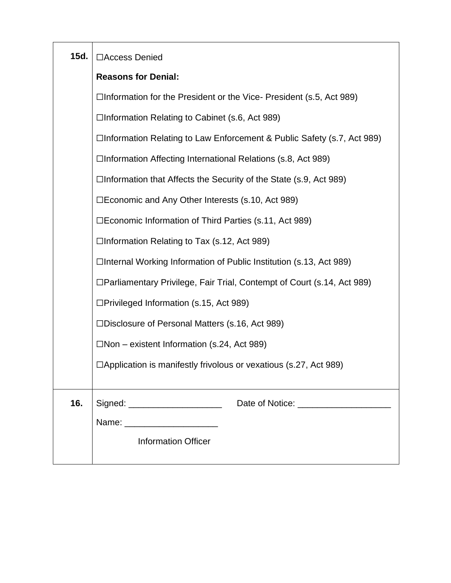| 15d. | □Access Denied                                                            |  |  |
|------|---------------------------------------------------------------------------|--|--|
|      | <b>Reasons for Denial:</b>                                                |  |  |
|      | $\Box$ Information for the President or the Vice-President (s.5, Act 989) |  |  |
|      | $\Box$ Information Relating to Cabinet (s.6, Act 989)                     |  |  |
|      | □Information Relating to Law Enforcement & Public Safety (s.7, Act 989)   |  |  |
|      | $\Box$ Information Affecting International Relations (s.8, Act 989)       |  |  |
|      | $\Box$ Information that Affects the Security of the State (s.9, Act 989)  |  |  |
|      | $\square$ Economic and Any Other Interests (s.10, Act 989)                |  |  |
|      | □Economic Information of Third Parties (s.11, Act 989)                    |  |  |
|      | □Information Relating to Tax (s.12, Act 989)                              |  |  |
|      | □Internal Working Information of Public Institution (s.13, Act 989)       |  |  |
|      | □Parliamentary Privilege, Fair Trial, Contempt of Court (s.14, Act 989)   |  |  |
|      | $\Box$ Privileged Information (s.15, Act 989)                             |  |  |
|      | $\square$ Disclosure of Personal Matters (s.16, Act 989)                  |  |  |
|      | $\Box$ Non – existent Information (s.24, Act 989)                         |  |  |
|      | $\Box$ Application is manifestly frivolous or vexatious (s.27, Act 989)   |  |  |
|      |                                                                           |  |  |
| 16.  | Date of Notice: _____________________<br>Signed: ______________________   |  |  |
|      | Name: _________________________                                           |  |  |
|      | <b>Information Officer</b>                                                |  |  |
|      |                                                                           |  |  |